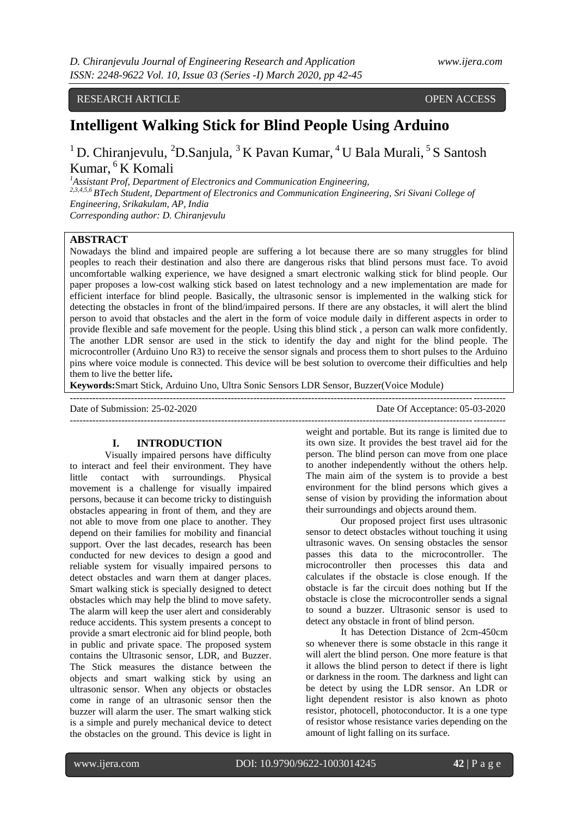RESEARCH ARTICLE **CONSERVERS** OPEN ACCESS

# **Intelligent Walking Stick for Blind People Using Arduino**

# <sup>1</sup>D. Chiranjevulu, <sup>2</sup>D. Sanjula, <sup>3</sup> K Pavan Kumar, <sup>4</sup> U Bala Murali, <sup>5</sup> S Santosh Kumar, <sup>6</sup> K Komali

*<sup>1</sup>Assistant Prof, Department of Electronics and Communication Engineering,*

*2,3,4,5,6 BTech Student, Department of Electronics and Communication Engineering, Sri Sivani College of Engineering, Srikakulam, AP, India Corresponding author: D. Chiranjevulu*

## **ABSTRACT**

Nowadays the blind and impaired people are suffering a lot because there are so many struggles for blind peoples to reach their destination and also there are dangerous risks that blind persons must face. To avoid uncomfortable walking experience, we have designed a smart electronic walking stick for blind people. Our paper proposes a low-cost walking stick based on latest technology and a new implementation are made for efficient interface for blind people. Basically, the ultrasonic sensor is implemented in the walking stick for detecting the obstacles in front of the blind/impaired persons. If there are any obstacles, it will alert the blind person to avoid that obstacles and the alert in the form of voice module daily in different aspects in order to provide flexible and safe movement for the people. Using this blind stick , a person can walk more confidently. The another LDR sensor are used in the stick to identify the day and night for the blind people. The microcontroller (Arduino Uno R3) to receive the sensor signals and process them to short pulses to the Arduino pins where voice module is connected. This device will be best solution to overcome their difficulties and help them to live the better life**.**

**Keywords:**Smart Stick, Arduino Uno, Ultra Sonic Sensors LDR Sensor, Buzzer(Voice Module)

--------------------------------------------------------------------------------------------------------------------------------------- Date of Submission: 25-02-2020 Date Of Acceptance: 05-03-2020 ---------------------------------------------------------------------------------------------------------------------------------------

#### **I. INTRODUCTION**

Visually impaired persons have difficulty to interact and feel their environment. They have little contact with surroundings. Physical movement is a challenge for visually impaired persons, because it can become tricky to distinguish obstacles appearing in front of them, and they are not able to move from one place to another. They depend on their families for mobility and financial support. Over the last decades, research has been conducted for new devices to design a good and reliable system for visually impaired persons to detect obstacles and warn them at danger places. Smart walking stick is specially designed to detect obstacles which may help the blind to move safety. The alarm will keep the user alert and considerably reduce accidents. This system presents a concept to provide a smart electronic aid for blind people, both in public and private space. The proposed system contains the Ultrasonic sensor, LDR, and Buzzer. The Stick measures the distance between the objects and smart walking stick by using an ultrasonic sensor. When any objects or obstacles come in range of an ultrasonic sensor then the buzzer will alarm the user. The smart walking stick is a simple and purely mechanical device to detect the obstacles on the ground. This device is light in weight and portable. But its range is limited due to its own size. It provides the best travel aid for the person. The blind person can move from one place to another independently without the others help. The main aim of the system is to provide a best environment for the blind persons which gives a sense of vision by providing the information about their surroundings and objects around them.

Our proposed project first uses ultrasonic sensor to detect obstacles without touching it using ultrasonic waves. On sensing obstacles the sensor passes this data to the microcontroller. The microcontroller then processes this data and calculates if the obstacle is close enough. If the obstacle is far the circuit does nothing but If the obstacle is close the microcontroller sends a signal to sound a buzzer. Ultrasonic sensor is used to detect any obstacle in front of blind person.

It has Detection Distance of 2cm-450cm so whenever there is some obstacle in this range it will alert the blind person. One more feature is that it allows the blind person to detect if there is light or darkness in the room. The darkness and light can be detect by using the LDR sensor. An LDR or light dependent resistor is also known as photo resistor, photocell, photoconductor. It is a one type of resistor whose resistance varies depending on the amount of light falling on its surface.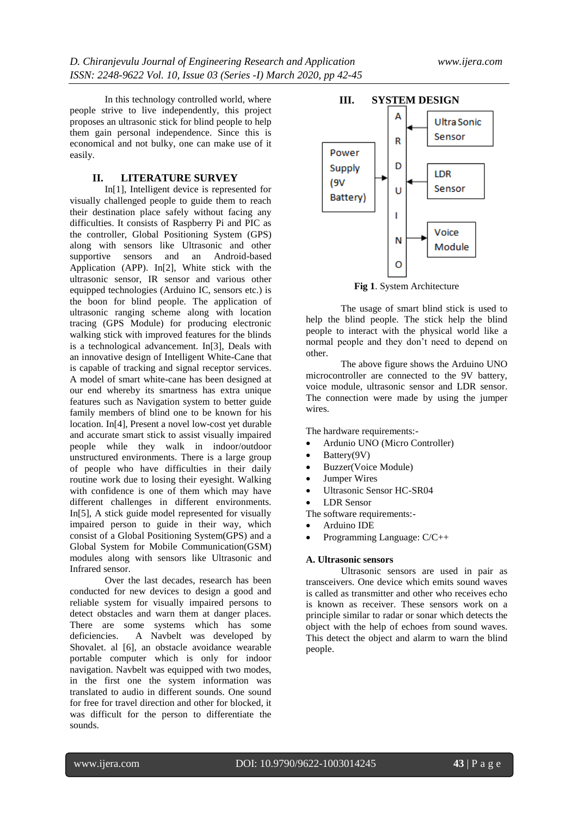In this technology controlled world, where people strive to live independently, this project proposes an ultrasonic stick for blind people to help them gain personal independence. Since this is economical and not bulky, one can make use of it easily.

## **II. LITERATURE SURVEY**

In[1], Intelligent device is represented for visually challenged people to guide them to reach their destination place safely without facing any difficulties. It consists of Raspberry Pi and PIC as the controller, Global Positioning System (GPS) along with sensors like Ultrasonic and other supportive sensors and an Android-based Application (APP). In[2], White stick with the ultrasonic sensor, IR sensor and various other equipped technologies (Arduino IC, sensors etc.) is the boon for blind people. The application of ultrasonic ranging scheme along with location tracing (GPS Module) for producing electronic walking stick with improved features for the blinds is a technological advancement. In[3], Deals with an innovative design of Intelligent White-Cane that is capable of tracking and signal receptor services. A model of smart white-cane has been designed at our end whereby its smartness has extra unique features such as Navigation system to better guide family members of blind one to be known for his location. In[4], Present a novel low-cost yet durable and accurate smart stick to assist visually impaired people while they walk in indoor/outdoor unstructured environments. There is a large group of people who have difficulties in their daily routine work due to losing their eyesight. Walking with confidence is one of them which may have different challenges in different environments. In[5], A stick guide model represented for visually impaired person to guide in their way, which consist of a Global Positioning System(GPS) and a Global System for Mobile Communication(GSM) modules along with sensors like Ultrasonic and Infrared sensor.

Over the last decades, research has been conducted for new devices to design a good and reliable system for visually impaired persons to detect obstacles and warn them at danger places. There are some systems which has some deficiencies. A Navbelt was developed by Shovalet. al [6], an obstacle avoidance wearable portable computer which is only for indoor navigation. Navbelt was equipped with two modes, in the first one the system information was translated to audio in different sounds. One sound for free for travel direction and other for blocked, it was difficult for the person to differentiate the sounds.



**Fig 1**. System Architecture

The usage of smart blind stick is used to help the blind people. The stick help the blind people to interact with the physical world like a normal people and they don't need to depend on other.

The above figure shows the Arduino UNO microcontroller are connected to the 9V battery, voice module, ultrasonic sensor and LDR sensor. The connection were made by using the jumper wires.

The hardware requirements:-

- Ardunio UNO (Micro Controller)
- Battery(9V)
- Buzzer(Voice Module)
- Jumper Wires
- Ultrasonic Sensor HC-SR04
- LDR Sensor

The software requirements:-

- Arduino IDE
- Programming Language: C/C++

#### **A. Ultrasonic sensors**

Ultrasonic sensors are used in pair as transceivers. One device which emits sound waves is called as transmitter and other who receives echo is known as receiver. These sensors work on a principle similar to radar or sonar which detects the object with the help of echoes from sound waves. This detect the object and alarm to warn the blind people.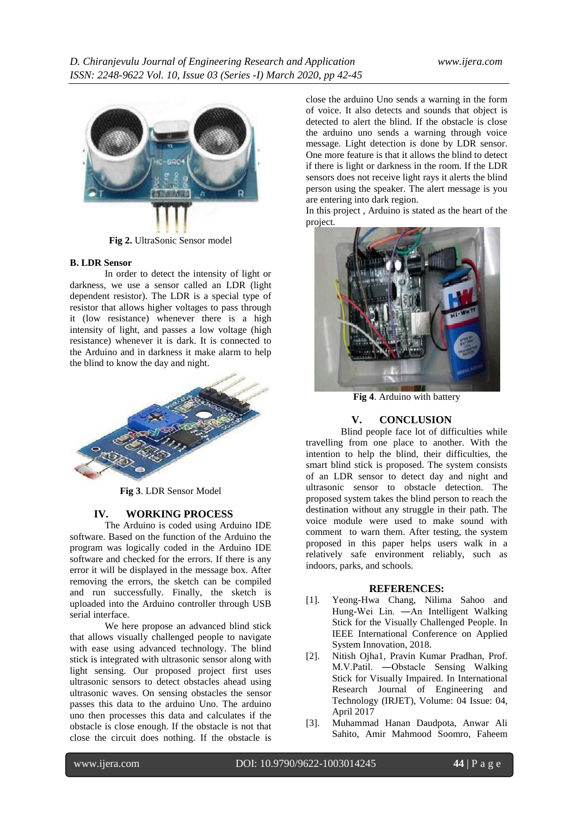

**Fig 2.** UltraSonic Sensor model

### **B. LDR Sensor**

In order to detect the intensity of light or darkness, we use a sensor called an LDR (light dependent resistor). The LDR is a special type of resistor that allows higher voltages to pass through it (low resistance) whenever there is a high intensity of light, and passes a low voltage (high resistance) whenever it is dark. It is connected to the Arduino and in darkness it make alarm to help the blind to know the day and night.



**Fig 3**. LDR Sensor Model

#### **IV. WORKING PROCESS**

The Arduino is coded using Arduino IDE software. Based on the function of the Arduino the program was logically coded in the Arduino IDE software and checked for the errors. If there is any error it will be displayed in the message box. After removing the errors, the sketch can be compiled and run successfully. Finally, the sketch is uploaded into the Arduino controller through USB serial interface.

We here propose an advanced blind stick that allows visually challenged people to navigate with ease using advanced technology. The blind stick is integrated with ultrasonic sensor along with light sensing. Our proposed project first uses ultrasonic sensors to detect obstacles ahead using ultrasonic waves. On sensing obstacles the sensor passes this data to the arduino Uno. The arduino uno then processes this data and calculates if the obstacle is close enough. If the obstacle is not that close the circuit does nothing. If the obstacle is

close the arduino Uno sends a warning in the form of voice. It also detects and sounds that object is detected to alert the blind. If the obstacle is close the arduino uno sends a warning through voice message. Light detection is done by LDR sensor. One more feature is that it allows the blind to detect if there is light or darkness in the room. If the LDR sensors does not receive light rays it alerts the blind person using the speaker. The alert message is you are entering into dark region.

In this project , Arduino is stated as the heart of the project.



**Fig 4**. Arduino with battery

## **V. CONCLUSION**

Blind people face lot of difficulties while travelling from one place to another. With the intention to help the blind, their difficulties, the smart blind stick is proposed. The system consists of an LDR sensor to detect day and night and ultrasonic sensor to obstacle detection. The proposed system takes the blind person to reach the destination without any struggle in their path. The voice module were used to make sound with comment to warn them. After testing, the system proposed in this paper helps users walk in a relatively safe environment reliably, such as indoors, parks, and schools.

## **REFERENCES:**

- [1]. Yeong-Hwa Chang, Nilima Sahoo and Hung-Wei Lin. ―An Intelligent Walking Stick for the Visually Challenged People. In IEEE International Conference on Applied System Innovation, 2018.
- [2]. Nitish Ojha1, Pravin Kumar Pradhan, Prof. M.V.Patil. ―Obstacle Sensing Walking Stick for Visually Impaired. In International Research Journal of Engineering and Technology (IRJET), Volume: 04 Issue: 04, April 2017
- [3]. Muhammad Hanan Daudpota, Anwar Ali Sahito, Amir Mahmood Soomro, Faheem